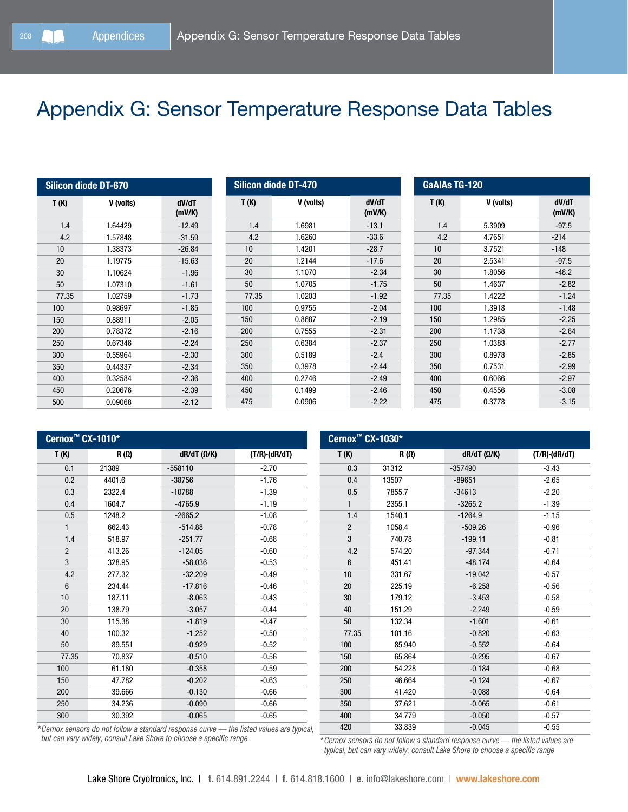## Appendix G: Sensor Temperature Response Data Tables

| <b>Silicon diode DT-670</b> |           |                 |  |
|-----------------------------|-----------|-----------------|--|
| T(K)                        | V (volts) | dV/dT<br>(mV/K) |  |
| 1.4                         | 1.64429   | $-12.49$        |  |
| 4.2                         | 1.57848   | $-31.59$        |  |
| 10                          | 1.38373   | $-26.84$        |  |
| 20                          | 1.19775   | $-15.63$        |  |
| 30                          | 1.10624   | $-1.96$         |  |
| 50                          | 1.07310   | $-1.61$         |  |
| 77.35                       | 1.02759   | $-1.73$         |  |
| 100                         | 0.98697   | $-1.85$         |  |
| 150                         | 0.88911   | $-2.05$         |  |
| 200                         | 0.78372   | $-2.16$         |  |
| 250                         | 0.67346   | $-2.24$         |  |
| 300                         | 0.55964   | $-2.30$         |  |
| 350                         | 0.44337   | $-2.34$         |  |
| 400                         | 0.32584   | $-2.36$         |  |
| 450                         | 0.20676   | $-2.39$         |  |
| 500                         | 0.09068   | $-2.12$         |  |

| <b>Silicon diode DT-470</b> |           |                 |
|-----------------------------|-----------|-----------------|
| T(K)                        | V (volts) | dV/dT<br>(mV/K) |
| 1.4                         | 1.6981    | $-13.1$         |
| 4.2                         | 1.6260    | $-33.6$         |
| 10                          | 1.4201    | $-28.7$         |
| 20                          | 1.2144    | $-17.6$         |
| 30                          | 1.1070    | $-2.34$         |
| 50                          | 1.0705    | $-1.75$         |
| 77.35                       | 1.0203    | $-1.92$         |
| 100                         | 0.9755    | $-2.04$         |
| 150                         | 0.8687    | $-2.19$         |
| 200                         | 0.7555    | $-2.31$         |
| 250                         | 0.6384    | $-2.37$         |
| 300                         | 0.5189    | $-2.4$          |
| 350                         | 0.3978    | $-2.44$         |
| 400                         | 0.2746    | $-2.49$         |
| 450                         | 0.1499    | $-2.46$         |
| 475                         | 0.0906    | $-2.22$         |

Cernox™ CX-1030\*

| <b>GaAIAs TG-120</b> |           |                 |  |
|----------------------|-----------|-----------------|--|
| T(K)                 | V (volts) | dV/dT<br>(mV/K) |  |
| 1.4                  | 5.3909    | $-97.5$         |  |
| 4.2                  | 4.7651    | $-214$          |  |
| 10                   | 3.7521    | $-148$          |  |
| 20                   | 2.5341    | $-97.5$         |  |
| 30                   | 1.8056    | $-48.2$         |  |
| 50                   | 1.4637    | $-2.82$         |  |
| 77.35                | 1.4222    | $-1.24$         |  |
| 100                  | 1.3918    | $-1.48$         |  |
| 150                  | 1.2985    | $-2.25$         |  |
| 200                  | 1.1738    | $-2.64$         |  |
| 250                  | 1.0383    | $-2.77$         |  |
| 300                  | 0.8978    | $-2.85$         |  |
| 350                  | 0.7531    | $-2.99$         |  |
| 400                  | 0.6066    | $-2.97$         |  |
| 450                  | 0.4556    | $-3.08$         |  |
| 475                  | 0.3778    | $-3.15$         |  |

| Cernox <sup>™</sup> CX-1010 <sup>*</sup> |             |                    |                  |
|------------------------------------------|-------------|--------------------|------------------|
| T(K)                                     | $R(\Omega)$ | $dR/dT (\Omega/K)$ | $(T/R)$ -(dR/dT) |
| 0.1                                      | 21389       | $-558110$          | $-2.70$          |
| 0.2                                      | 4401.6      | $-38756$           | $-1.76$          |
| 0.3                                      | 2322.4      | $-10788$           | $-1.39$          |
| 0.4                                      | 1604.7      | $-4765.9$          | $-1.19$          |
| 0.5                                      | 1248.2      | $-2665.2$          | $-1.08$          |
| $\mathbf{1}$                             | 662.43      | $-514.88$          | $-0.78$          |
| 1.4                                      | 518.97      | $-251.77$          | $-0.68$          |
| $\overline{2}$                           | 413.26      | $-124.05$          | $-0.60$          |
| 3                                        | 328.95      | $-58.036$          | $-0.53$          |
| 4.2                                      | 277.32      | $-32.209$          | $-0.49$          |
| 6                                        | 234.44      | $-17.816$          | $-0.46$          |
| 10                                       | 187.11      | $-8.063$           | $-0.43$          |
| 20                                       | 138.79      | $-3.057$           | $-0.44$          |
| 30                                       | 115.38      | $-1.819$           | $-0.47$          |
| 40                                       | 100.32      | $-1.252$           | $-0.50$          |
| 50                                       | 89.551      | $-0.929$           | $-0.52$          |
| 77.35                                    | 70.837      | $-0.510$           | $-0.56$          |
| 100                                      | 61.180      | $-0.358$           | $-0.59$          |
| 150                                      | 47.782      | $-0.202$           | $-0.63$          |
| 200                                      | 39.666      | $-0.130$           | $-0.66$          |
| 250                                      | 34.236      | $-0.090$           | $-0.66$          |
| 300                                      | 30.392      | $-0.065$           | $-0.65$          |

| T(K)           | $R(\Omega)$ | $dR/dT$ ( $\Omega/K$ ) | $(T/R)$ -(dR/dT) |
|----------------|-------------|------------------------|------------------|
| 0.3            | 31312       | $-357490$              | $-3.43$          |
| 0.4            | 13507       | $-89651$               | $-2.65$          |
| 0.5            | 7855.7      | $-34613$               | $-2.20$          |
| $\mathbf{1}$   | 2355.1      | $-3265.2$              | $-1.39$          |
| 1.4            | 1540.1      | $-1264.9$              | $-1.15$          |
| $\overline{2}$ | 1058.4      | $-509.26$              | $-0.96$          |
| 3              | 740.78      | $-199.11$              | $-0.81$          |
| 4.2            | 574.20      | $-97.344$              | $-0.71$          |
| $6\phantom{1}$ | 451.41      | $-48.174$              | $-0.64$          |
| 10             | 331.67      | $-19.042$              | $-0.57$          |
| 20             | 225.19      | $-6.258$               | $-0.56$          |
| 30             | 179.12      | $-3.453$               | $-0.58$          |
| 40             | 151.29      | $-2.249$               | $-0.59$          |
| 50             | 132.34      | $-1.601$               | $-0.61$          |
| 77.35          | 101.16      | $-0.820$               | $-0.63$          |
| 100            | 85.940      | $-0.552$               | $-0.64$          |
| 150            | 65.864      | $-0.295$               | $-0.67$          |
| 200            | 54.228      | $-0.184$               | $-0.68$          |
| 250            | 46.664      | $-0.124$               | $-0.67$          |
| 300            | 41.420      | $-0.088$               | $-0.64$          |
| 350            | 37.621      | $-0.065$               | $-0.61$          |
| 400            | 34.779      | $-0.050$               | $-0.57$          |
| 420            | 33.839      | $-0.045$               | $-0.55$          |

*\*Cernox sensors do not follow a standard response curve — the listed values are typical, but can vary widely; consult Lake Shore to choose a specific range*

*\*Cernox sensors do not follow a standard response curve — the listed values are typical, but can vary widely; consult Lake Shore to choose a specific range*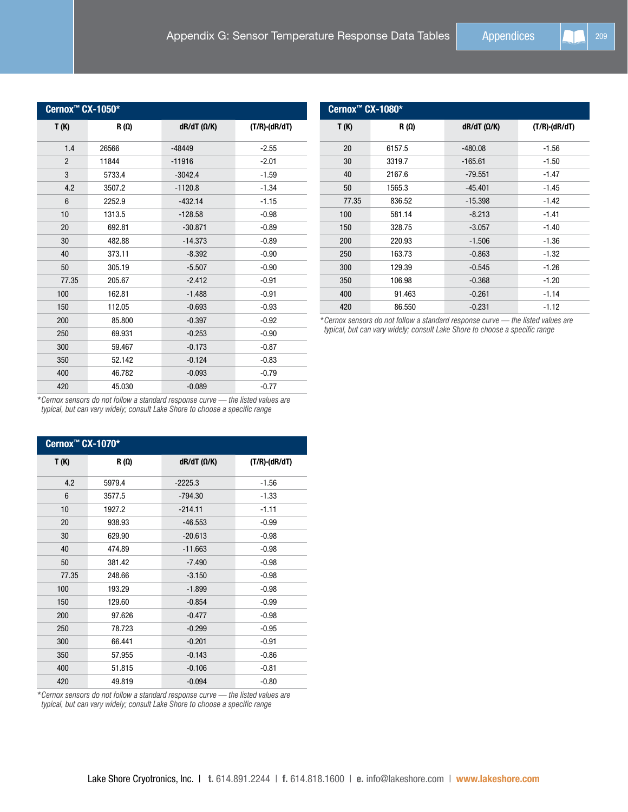| Cernox <sup>™</sup> CX-1050* |             |                        |                       |  |
|------------------------------|-------------|------------------------|-----------------------|--|
| T (K)                        | $R(\Omega)$ | $dR/dT$ ( $\Omega/K$ ) | $(T/R) \cdot (dR/dT)$ |  |
| 1.4                          | 26566       | $-48449$               | $-2.55$               |  |
| $\overline{2}$               | 11844       | $-11916$               | $-2.01$               |  |
| 3                            | 5733.4      | $-3042.4$              | $-1.59$               |  |
| 4.2                          | 3507.2      | $-1120.8$              | $-1.34$               |  |
| 6                            | 2252.9      | $-432.14$              | $-1.15$               |  |
| 10                           | 1313.5      | $-128.58$              | $-0.98$               |  |
| 20                           | 692.81      | $-30.871$              | $-0.89$               |  |
| 30                           | 482.88      | $-14.373$              | $-0.89$               |  |
| 40                           | 373.11      | $-8.392$               | $-0.90$               |  |
| 50                           | 305.19      | $-5.507$               | $-0.90$               |  |
| 77.35                        | 205.67      | $-2.412$               | $-0.91$               |  |
| 100                          | 162.81      | $-1.488$               | $-0.91$               |  |
| 150                          | 112.05      | $-0.693$               | $-0.93$               |  |
| 200                          | 85.800      | $-0.397$               | $-0.92$               |  |
| 250                          | 69.931      | $-0.253$               | $-0.90$               |  |
| 300                          | 59.467      | $-0.173$               | $-0.87$               |  |
| 350                          | 52.142      | $-0.124$               | $-0.83$               |  |
| 400                          | 46.782      | $-0.093$               | $-0.79$               |  |
| 420                          | 45.030      | $-0.089$               | $-0.77$               |  |

| Cernox <sup>™</sup> CX-1080* |             |                        |                  |
|------------------------------|-------------|------------------------|------------------|
| T(K)                         | $R(\Omega)$ | $dR/dT$ ( $\Omega/K$ ) | $(T/R)$ -(dR/dT) |
| 20                           | 6157.5      | $-480.08$              | $-1.56$          |
| 30                           | 3319.7      | $-165.61$              | $-1.50$          |
| 40                           | 2167.6      | $-79.551$              | $-1.47$          |
| 50                           | 1565.3      | $-45.401$              | $-1.45$          |
| 77.35                        | 836.52      | $-15.398$              | $-1.42$          |
| 100                          | 581.14      | $-8.213$               | $-1.41$          |
| 150                          | 328.75      | $-3.057$               | $-1.40$          |
| 200                          | 220.93      | $-1.506$               | $-1.36$          |
| 250                          | 163.73      | $-0.863$               | $-1.32$          |
| 300                          | 129.39      | $-0.545$               | $-1.26$          |
| 350                          | 106.98      | $-0.368$               | $-1.20$          |
| 400                          | 91.463      | $-0.261$               | $-1.14$          |
| 420                          | 86.550      | $-0.231$               | $-1.12$          |

*\*Cernox sensors do not follow a standard response curve — the listed values are typical, but can vary widely; consult Lake Shore to choose a specific range*

*\*Cernox sensors do not follow a standard response curve — the listed values are typical, but can vary widely; consult Lake Shore to choose a specific range*

| Cernox <sup>™</sup> CX-1070* |        |                        |                  |
|------------------------------|--------|------------------------|------------------|
| T (K)                        | R (Ω)  | $dR/dT$ ( $\Omega/K$ ) | $(T/R)$ -(dR/dT) |
| 4.2                          | 5979.4 | $-2225.3$              | $-1.56$          |
| 6                            | 3577.5 | $-794.30$              | $-1.33$          |
| 10                           | 1927.2 | $-214.11$              | $-1.11$          |
| 20                           | 938.93 | $-46.553$              | $-0.99$          |
| 30                           | 629.90 | $-20.613$              | $-0.98$          |
| 40                           | 474.89 | $-11.663$              | $-0.98$          |
| 50                           | 381.42 | $-7.490$               | $-0.98$          |
| 77.35                        | 248.66 | $-3.150$               | $-0.98$          |
| 100                          | 193.29 | $-1.899$               | $-0.98$          |
| 150                          | 129.60 | $-0.854$               | $-0.99$          |
| 200                          | 97.626 | $-0.477$               | $-0.98$          |
| 250                          | 78.723 | $-0.299$               | $-0.95$          |
| 300                          | 66.441 | $-0.201$               | $-0.91$          |
| 350                          | 57.955 | $-0.143$               | $-0.86$          |
| 400                          | 51.815 | $-0.106$               | $-0.81$          |
| 420                          | 49.819 | $-0.094$               | $-0.80$          |

*\*Cernox sensors do not follow a standard response curve — the listed values are typical, but can vary widely; consult Lake Shore to choose a specific range*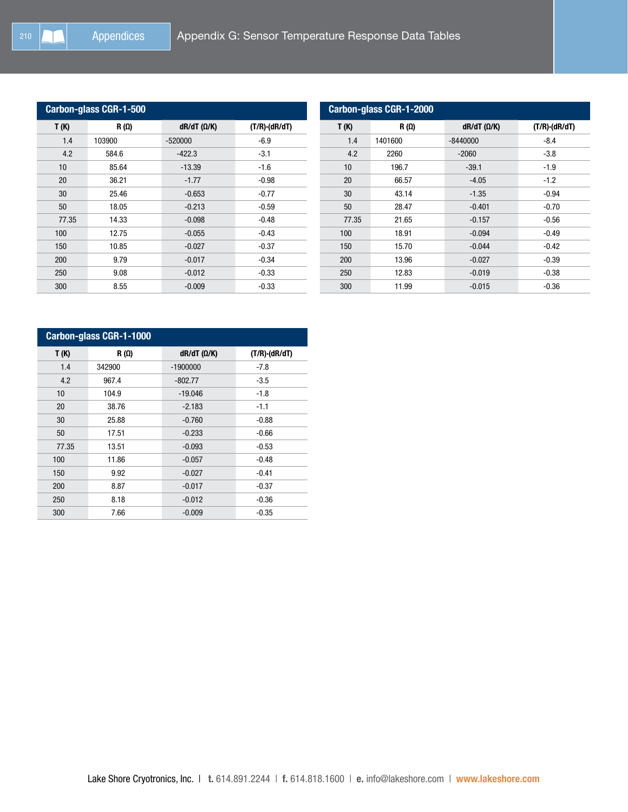| <b>Carbon-glass CGR-1-500</b> |             |                        |                  |
|-------------------------------|-------------|------------------------|------------------|
| T(K)                          | $R(\Omega)$ | $dR/dT$ ( $\Omega/K$ ) | $(T/R)$ -(dR/dT) |
| 1.4                           | 103900      | $-520000$              | $-6.9$           |
| 4.2                           | 584.6       | $-422.3$               | $-3.1$           |
| 10                            | 85.64       | $-13.39$               | $-1.6$           |
| 20                            | 36.21       | $-1.77$                | $-0.98$          |
| 30                            | 25.46       | $-0.653$               | $-0.77$          |
| 50                            | 18.05       | $-0.213$               | $-0.59$          |
| 77.35                         | 14.33       | $-0.098$               | $-0.48$          |
| 100                           | 12.75       | $-0.055$               | $-0.43$          |
| 150                           | 10.85       | $-0.027$               | $-0.37$          |
| 200                           | 9.79        | $-0.017$               | $-0.34$          |
| 250                           | 9.08        | $-0.012$               | $-0.33$          |
| 300                           | 8.55        | $-0.009$               | $-0.33$          |

| Carbon-glass CGR-1-2000 |             |                        |                     |  |
|-------------------------|-------------|------------------------|---------------------|--|
| T(K)                    | $R(\Omega)$ | $dR/dT$ ( $\Omega/K$ ) | $(T/R)$ - $(dR/dT)$ |  |
| 1.4                     | 1401600     | $-8440000$             | $-8.4$              |  |
| 4.2                     | 2260        | $-2060$                | $-3.8$              |  |
| 10                      | 196.7       | $-39.1$                | $-1.9$              |  |
| 20                      | 66.57       | $-4.05$                | $-1.2$              |  |
| 30                      | 43.14       | $-1.35$                | $-0.94$             |  |
| 50                      | 28.47       | $-0.401$               | $-0.70$             |  |
| 77.35                   | 21.65       | $-0.157$               | $-0.56$             |  |
| 100                     | 18.91       | $-0.094$               | $-0.49$             |  |
| 150                     | 15.70       | $-0.044$               | $-0.42$             |  |
| 200                     | 13.96       | $-0.027$               | $-0.39$             |  |
| 250                     | 12.83       | $-0.019$               | $-0.38$             |  |
| 300                     | 11.99       | $-0.015$               | $-0.36$             |  |

| Carbon-glass CGR-1-1000 |             |                        |                  |
|-------------------------|-------------|------------------------|------------------|
| T(K)                    | $R(\Omega)$ | $dR/dT$ ( $\Omega/K$ ) | $(T/R)$ -(dR/dT) |
| 1.4                     | 342900      | $-1900000$             | $-7.8$           |
| 4.2                     | 967.4       | $-802.77$              | $-3.5$           |
| 10                      | 104.9       | $-19.046$              | $-1.8$           |
| 20                      | 38.76       | $-2.183$               | $-1.1$           |
| 30                      | 25.88       | $-0.760$               | $-0.88$          |
| 50                      | 17.51       | $-0.233$               | $-0.66$          |
| 77.35                   | 13.51       | $-0.093$               | $-0.53$          |
| 100                     | 11.86       | $-0.057$               | $-0.48$          |
| 150                     | 9.92        | $-0.027$               | $-0.41$          |
| 200                     | 8.87        | $-0.017$               | $-0.37$          |
| 250                     | 8.18        | $-0.012$               | $-0.36$          |
| 300                     | 7.66        | $-0.009$               | $-0.35$          |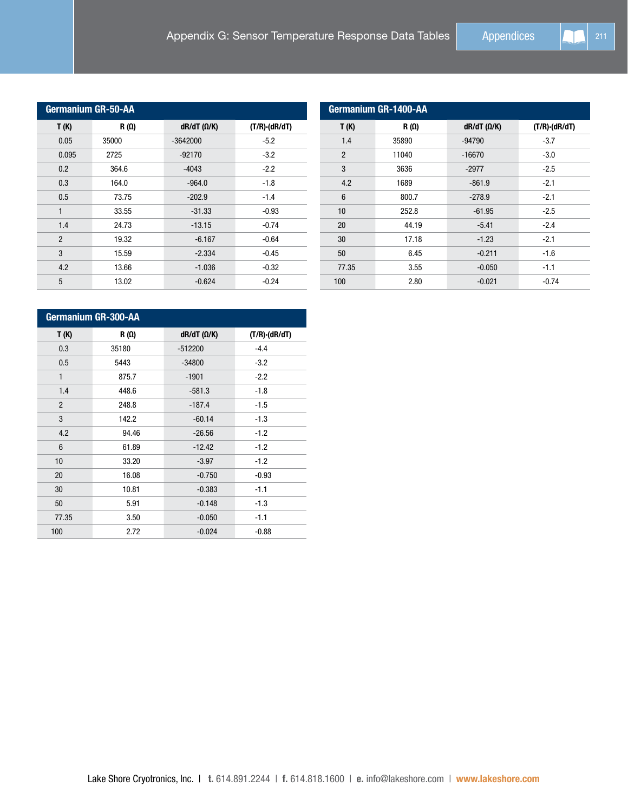| <b>Germanium GR-50-AA</b> |             |                        |                  |
|---------------------------|-------------|------------------------|------------------|
| T(K)                      | $R(\Omega)$ | $dR/dT$ ( $\Omega/K$ ) | $(T/R)$ ·(dR/dT) |
| 0.05                      | 35000       | $-3642000$             | $-5.2$           |
| 0.095                     | 2725        | $-92170$               | $-3.2$           |
| 0.2                       | 364.6       | $-4043$                | $-2.2$           |
| 0.3                       | 164.0       | $-964.0$               | $-1.8$           |
| 0.5                       | 73.75       | $-202.9$               | $-1.4$           |
| $\mathbf{1}$              | 33.55       | $-31.33$               | $-0.93$          |
| 1.4                       | 24.73       | $-13.15$               | $-0.74$          |
| $\overline{2}$            | 19.32       | $-6.167$               | $-0.64$          |
| 3                         | 15.59       | $-2.334$               | $-0.45$          |
| 4.2                       | 13.66       | $-1.036$               | $-0.32$          |
| 5                         | 13.02       | $-0.624$               | $-0.24$          |

| Germanium GR-1400-AA |             |                        |                     |
|----------------------|-------------|------------------------|---------------------|
| T(K)                 | $R(\Omega)$ | $dR/dT$ ( $\Omega/K$ ) | $(T/R)$ - $(dR/dT)$ |
| 1.4                  | 35890       | $-94790$               | $-3.7$              |
| $\overline{2}$       | 11040       | $-16670$               | $-3.0$              |
| 3                    | 3636        | $-2977$                | $-2.5$              |
| 4.2                  | 1689        | $-861.9$               | $-2.1$              |
| 6                    | 800.7       | $-278.9$               | $-2.1$              |
| 10                   | 252.8       | $-61.95$               | $-2.5$              |
| 20                   | 44.19       | $-5.41$                | $-2.4$              |
| 30                   | 17.18       | $-1.23$                | $-2.1$              |
| 50                   | 6.45        | $-0.211$               | $-1.6$              |
| 77.35                | 3.55        | $-0.050$               | $-1.1$              |
| 100                  | 2.80        | $-0.021$               | $-0.74$             |

| <b>Germanium GR-300-AA</b> |             |                        |                  |
|----------------------------|-------------|------------------------|------------------|
| T (K)                      | $R(\Omega)$ | $dR/dT$ ( $\Omega/K$ ) | $(T/R)$ -(dR/dT) |
| 0.3                        | 35180       | $-512200$              | $-4.4$           |
| 0.5                        | 5443        | $-34800$               | $-3.2$           |
| $\mathbf{1}$               | 875.7       | $-1901$                | $-2.2$           |
| 1.4                        | 448.6       | $-581.3$               | $-1.8$           |
| $\mathcal{P}$              | 248.8       | $-187.4$               | $-1.5$           |
| 3                          | 142.2       | $-60.14$               | $-1.3$           |
| 4.2                        | 94.46       | $-26.56$               | $-1.2$           |
| 6                          | 61.89       | $-12.42$               | $-1.2$           |
| 10                         | 33.20       | $-3.97$                | $-1.2$           |
| 20                         | 16.08       | $-0.750$               | $-0.93$          |
| 30                         | 10.81       | $-0.383$               | $-1.1$           |
| 50                         | 5.91        | $-0.148$               | $-1.3$           |
| 77.35                      | 3.50        | $-0.050$               | $-1.1$           |
| 100                        | 2.72        | $-0.024$               | $-0.88$          |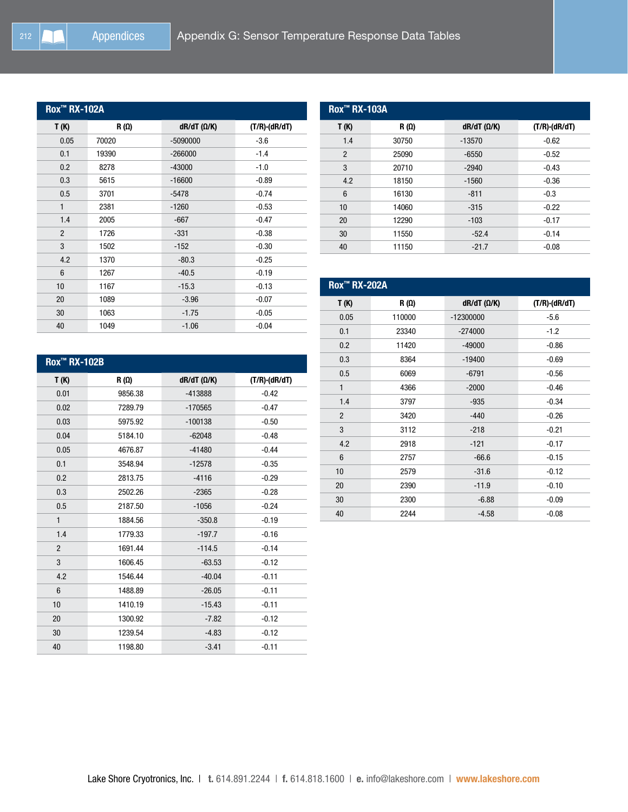| <b>Rox<sup>™</sup> RX-102A</b> |             |                        |                  |
|--------------------------------|-------------|------------------------|------------------|
| T(K)                           | $R(\Omega)$ | $dR/dT$ ( $\Omega/K$ ) | $(T/R)$ -(dR/dT) |
| 0.05                           | 70020       | $-5090000$             | $-3.6$           |
| 0.1                            | 19390       | $-266000$              | $-1.4$           |
| 0.2                            | 8278        | $-43000$               | $-1.0$           |
| 0.3                            | 5615        | $-16600$               | $-0.89$          |
| 0.5                            | 3701        | $-5478$                | $-0.74$          |
| 1                              | 2381        | $-1260$                | $-0.53$          |
| 1.4                            | 2005        | $-667$                 | $-0.47$          |
| $\overline{2}$                 | 1726        | $-331$                 | $-0.38$          |
| 3                              | 1502        | $-152$                 | $-0.30$          |
| 4.2                            | 1370        | $-80.3$                | $-0.25$          |
| 6                              | 1267        | $-40.5$                | $-0.19$          |
| 10                             | 1167        | $-15.3$                | $-0.13$          |
| 20                             | 1089        | $-3.96$                | $-0.07$          |
| 30                             | 1063        | $-1.75$                | $-0.05$          |
| 40                             | 1049        | $-1.06$                | $-0.04$          |

| <b>Rox™ RX-103A</b> |             |                    |                     |
|---------------------|-------------|--------------------|---------------------|
| T (K)               | $R(\Omega)$ | $dR/dT (\Omega/K)$ | $(T/R)$ - $(dR/dT)$ |
| 1.4                 | 30750       | $-13570$           | $-0.62$             |
| $\overline{2}$      | 25090       | $-6550$            | $-0.52$             |
| 3                   | 20710       | $-2940$            | $-0.43$             |
| 4.2                 | 18150       | $-1560$            | $-0.36$             |
| 6                   | 16130       | $-811$             | $-0.3$              |
| 10                  | 14060       | $-315$             | $-0.22$             |
| 20                  | 12290       | $-103$             | $-0.17$             |
| 30                  | 11550       | $-52.4$            | $-0.14$             |
| 40                  | 11150       | $-21.7$            | $-0.08$             |

| <b>Rox<sup>™</sup> RX-102B</b> |             |                        |                  |
|--------------------------------|-------------|------------------------|------------------|
| T(K)                           | $R(\Omega)$ | $dR/dT$ ( $\Omega/K$ ) | $(T/R)$ -(dR/dT) |
| 0.01                           | 9856.38     | $-413888$              | $-0.42$          |
| 0.02                           | 7289.79     | $-170565$              | $-0.47$          |
| 0.03                           | 5975.92     | $-100138$              | $-0.50$          |
| 0.04                           | 5184.10     | $-62048$               | $-0.48$          |
| 0.05                           | 4676.87     | $-41480$               | $-0.44$          |
| 0.1                            | 3548.94     | $-12578$               | $-0.35$          |
| 0.2                            | 2813.75     | $-4116$                | $-0.29$          |
| 0.3                            | 2502.26     | $-2365$                | $-0.28$          |
| 0.5                            | 2187.50     | $-1056$                | $-0.24$          |
| $\mathbf{1}$                   | 1884.56     | $-350.8$               | $-0.19$          |
| 1.4                            | 1779.33     | $-197.7$               | $-0.16$          |
| $\overline{2}$                 | 1691.44     | $-114.5$               | $-0.14$          |
| 3                              | 1606.45     | $-63.53$               | $-0.12$          |
| 4.2                            | 1546.44     | $-40.04$               | $-0.11$          |
| 6                              | 1488.89     | $-26.05$               | $-0.11$          |
| 10                             | 1410.19     | $-15.43$               | $-0.11$          |
| 20                             | 1300.92     | $-7.82$                | $-0.12$          |
| 30                             | 1239.54     | $-4.83$                | $-0.12$          |
| 40                             | 1198.80     | $-3.41$                | $-0.11$          |

| <b>Rox™ RX-202A</b> |             |                        |                     |
|---------------------|-------------|------------------------|---------------------|
| T(K)                | $R(\Omega)$ | $dR/dT$ ( $\Omega/K$ ) | $(T/R)$ - $(dR/dT)$ |
| 0.05                | 110000      | $-12300000$            | $-5.6$              |
| 0.1                 | 23340       | $-274000$              | $-1.2$              |
| 0.2                 | 11420       | $-49000$               | $-0.86$             |
| 0.3                 | 8364        | $-19400$               | $-0.69$             |
| 0.5                 | 6069        | $-6791$                | $-0.56$             |
| 1                   | 4366        | $-2000$                | $-0.46$             |
| 1.4                 | 3797        | $-935$                 | $-0.34$             |
| $\overline{2}$      | 3420        | $-440$                 | $-0.26$             |
| 3                   | 3112        | $-218$                 | $-0.21$             |
| 4.2                 | 2918        | $-121$                 | $-0.17$             |
| 6                   | 2757        | $-66.6$                | $-0.15$             |
| 10                  | 2579        | $-31.6$                | $-0.12$             |
| 20                  | 2390        | $-11.9$                | $-0.10$             |
| 30                  | 2300        | $-6.88$                | $-0.09$             |
| 40                  | 2244        | $-4.58$                | $-0.08$             |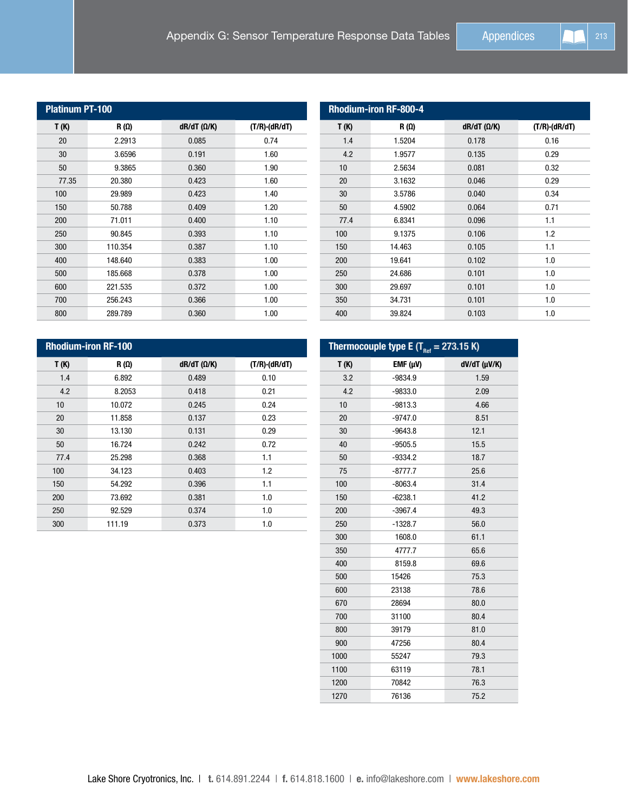| <b>Platinum PT-100</b> |             |                        |                  |
|------------------------|-------------|------------------------|------------------|
| T(K)                   | $R(\Omega)$ | $dR/dT$ ( $\Omega/K$ ) | $(T/R)$ -(dR/dT) |
| 20                     | 2.2913      | 0.085                  | 0.74             |
| 30                     | 3.6596      | 0.191                  | 1.60             |
| 50                     | 9.3865      | 0.360                  | 1.90             |
| 77.35                  | 20.380      | 0.423                  | 1.60             |
| 100                    | 29.989      | 0.423                  | 1.40             |
| 150                    | 50.788      | 0.409                  | 1.20             |
| 200                    | 71.011      | 0.400                  | 1.10             |
| 250                    | 90.845      | 0.393                  | 1.10             |
| 300                    | 110.354     | 0.387                  | 1.10             |
| 400                    | 148.640     | 0.383                  | 1.00             |
| 500                    | 185.668     | 0.378                  | 1.00             |
| 600                    | 221.535     | 0.372                  | 1.00             |
| 700                    | 256.243     | 0.366                  | 1.00             |
| 800                    | 289.789     | 0.360                  | 1.00             |

| <b>Rhodium-iron RF-800-4</b> |             |                        |                     |
|------------------------------|-------------|------------------------|---------------------|
| T(K)                         | $R(\Omega)$ | $dR/dT$ ( $\Omega/K$ ) | $(T/R)$ - $(dR/dT)$ |
| 1.4                          | 1.5204      | 0.178                  | 0.16                |
| 4.2                          | 1.9577      | 0.135                  | 0.29                |
| 10                           | 2.5634      | 0.081                  | 0.32                |
| 20                           | 3.1632      | 0.046                  | 0.29                |
| 30                           | 3.5786      | 0.040                  | 0.34                |
| 50                           | 4.5902      | 0.064                  | 0.71                |
| 77.4                         | 6.8341      | 0.096                  | 1.1                 |
| 100                          | 9.1375      | 0.106                  | 1.2                 |
| 150                          | 14.463      | 0.105                  | 1.1                 |
| 200                          | 19.641      | 0.102                  | 1.0                 |
| 250                          | 24.686      | 0.101                  | 1.0                 |
| 300                          | 29.697      | 0.101                  | 1.0                 |
| 350                          | 34.731      | 0.101                  | 1.0                 |
| 400                          | 39.824      | 0.103                  | 1.0                 |

| <b>Rhodium-iron RF-100</b> |             |                        |                  |
|----------------------------|-------------|------------------------|------------------|
| T(K)                       | $R(\Omega)$ | $dR/dT$ ( $\Omega/K$ ) | $(T/R)$ -(dR/dT) |
| 1.4                        | 6.892       | 0.489                  | 0.10             |
| 4.2                        | 8.2053      | 0.418                  | 0.21             |
| 10                         | 10.072      | 0.245                  | 0.24             |
| 20                         | 11.858      | 0.137                  | 0.23             |
| 30                         | 13.130      | 0.131                  | 0.29             |
| 50                         | 16.724      | 0.242                  | 0.72             |
| 77.4                       | 25.298      | 0.368                  | 1.1              |
| 100                        | 34.123      | 0.403                  | 1.2              |
| 150                        | 54.292      | 0.396                  | 1.1              |
| 200                        | 73.692      | 0.381                  | 1.0              |
| 250                        | 92.529      | 0.374                  | 1.0              |
| 300                        | 111.19      | 0.373                  | 1.0              |

| Thermocouple type E (T <sub>ref</sub> = 273.15 K) |              |                      |  |
|---------------------------------------------------|--------------|----------------------|--|
| T(K)                                              | $EMF(\mu V)$ | $dV/dT$ ( $\mu$ V/K) |  |
| 3.2                                               | $-9834.9$    | 1.59                 |  |
| 4.2                                               | $-9833.0$    | 2.09                 |  |
| 10                                                | $-9813.3$    | 4.66                 |  |
| 20                                                | $-9747.0$    | 8.51                 |  |
| 30                                                | $-9643.8$    | 12.1                 |  |
| 40                                                | $-9505.5$    | 15.5                 |  |
| 50                                                | $-9334.2$    | 18.7                 |  |
| 75                                                | $-8777.7$    | 25.6                 |  |
| 100                                               | $-8063.4$    | 31.4                 |  |
| 150                                               | $-6238.1$    | 41.2                 |  |
| 200                                               | $-3967.4$    | 49.3                 |  |
| 250                                               | $-1328.7$    | 56.0                 |  |
| 300                                               | 1608.0       | 61.1                 |  |
| 350                                               | 4777.7       | 65.6                 |  |
| 400                                               | 8159.8       | 69.6                 |  |
| 500                                               | 15426        | 75.3                 |  |
| 600                                               | 23138        | 78.6                 |  |
| 670                                               | 28694        | 80.0                 |  |
| 700                                               | 31100        | 80.4                 |  |
| 800                                               | 39179        | 81.0                 |  |
| 900                                               | 47256        | 80.4                 |  |
| 1000                                              | 55247        | 79.3                 |  |
| 1100                                              | 63119        | 78.1                 |  |
| 1200                                              | 70842        | 76.3                 |  |
| 1270                                              | 76136        | 75.2                 |  |